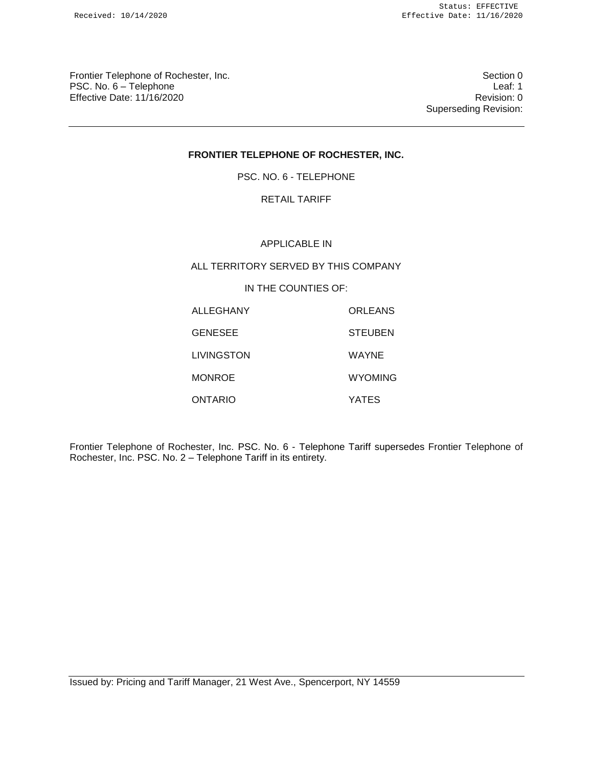Frontier Telephone of Rochester, Inc. Section 0 PSC. No. 6 – Telephone Leaf: 1 Effective Date: 11/16/2020 **Review Account 2018** Revision: 0

Superseding Revision:

# **FRONTIER TELEPHONE OF ROCHESTER, INC.**

PSC. NO. 6 - TELEPHONE

## RETAIL TARIFF

#### APPLICABLE IN

## ALL TERRITORY SERVED BY THIS COMPANY

## IN THE COUNTIES OF:

| ALLEGHANY      | ORLEANS        |
|----------------|----------------|
| <b>GENESEE</b> | <b>STEUBEN</b> |
| LIVINGSTON     | WAYNE          |
| <b>MONROE</b>  | <b>WYOMING</b> |
| ONTARIO        | <b>YATES</b>   |

Frontier Telephone of Rochester, Inc. PSC. No. 6 - Telephone Tariff supersedes Frontier Telephone of Rochester, Inc. PSC. No. 2 – Telephone Tariff in its entirety.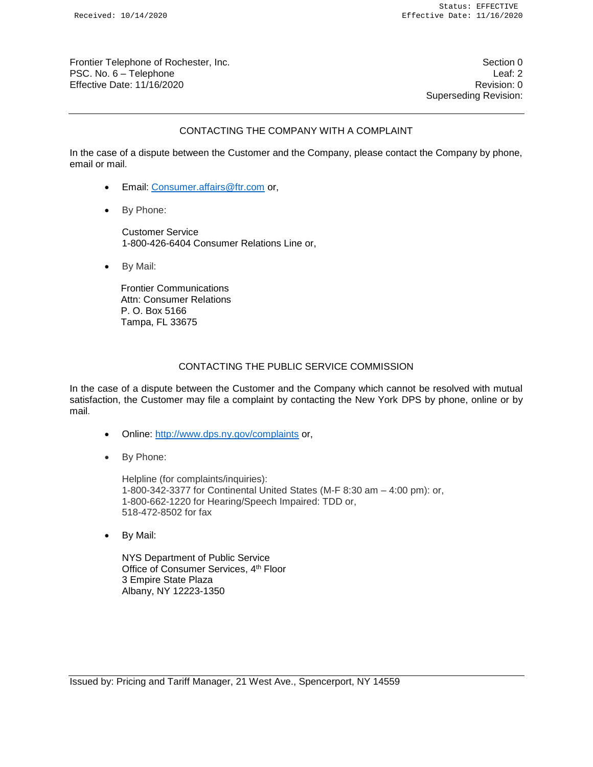Frontier Telephone of Rochester, Inc. Section 0 and the section 0 section 0 section 0 section 0 PSC. No. 6 – Telephone Leaf: 2 Effective Date: 11/16/2020 Revision: 0

Superseding Revision:

## CONTACTING THE COMPANY WITH A COMPLAINT

In the case of a dispute between the Customer and the Company, please contact the Company by phone, email or mail.

- Email: Consumer.affairs@ftr.com or,
- By Phone:

Customer Service 1-800-426-6404 Consumer Relations Line or,

• By Mail:

Frontier Communications Attn: Consumer Relations P. O. Box 5166 Tampa, FL 33675

### CONTACTING THE PUBLIC SERVICE COMMISSION

In the case of a dispute between the Customer and the Company which cannot be resolved with mutual satisfaction, the Customer may file a complaint by contacting the New York DPS by phone, online or by mail.

- Online: http://www.dps.ny.gov/complaints or,
- By Phone:

Helpline (for complaints/inquiries): 1-800-342-3377 for Continental United States (M-F 8:30 am – 4:00 pm): or, 1-800-662-1220 for Hearing/Speech Impaired: TDD or, 518-472-8502 for fax

• By Mail:

NYS Department of Public Service Office of Consumer Services, 4th Floor 3 Empire State Plaza Albany, NY 12223-1350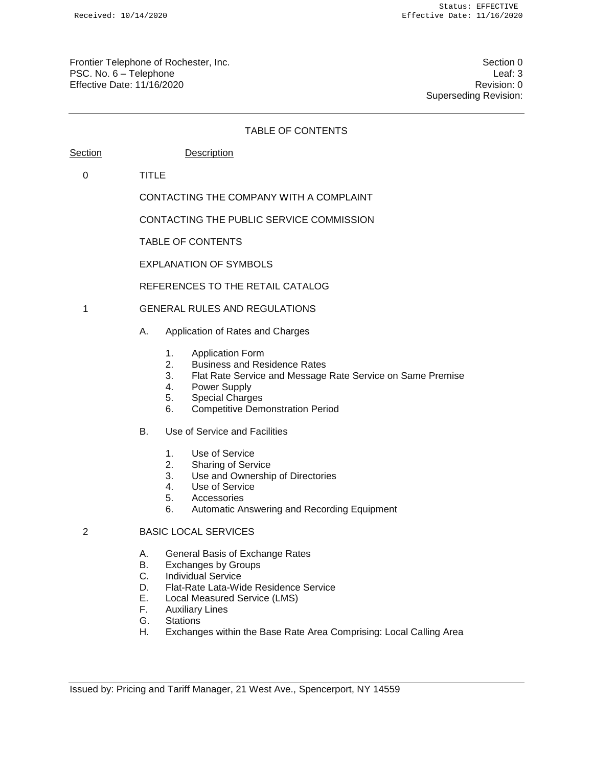Frontier Telephone of Rochester, Inc. Section 0 and the section 0 section 0 section 0 section 0 PSC. No. 6 – Telephone Leaf: 3 Effective Date: 11/16/2020 Revision: 0

Superseding Revision:

#### TABLE OF CONTENTS

| Section | Description |
|---------|-------------|
|         |             |

0 TITLE

CONTACTING THE COMPANY WITH A COMPLAINT

CONTACTING THE PUBLIC SERVICE COMMISSION

TABLE OF CONTENTS

EXPLANATION OF SYMBOLS

REFERENCES TO THE RETAIL CATALOG

- 1 GENERAL RULES AND REGULATIONS
	- A. Application of Rates and Charges
		- 1. Application Form
		- 2. Business and Residence Rates
		- 3. Flat Rate Service and Message Rate Service on Same Premise
		- 4. Power Supply
		- 5. Special Charges
		- 6. Competitive Demonstration Period
	- B. Use of Service and Facilities
		- 1. Use of Service
		- 2. Sharing of Service
		- 3. Use and Ownership of Directories
		- 4. Use of Service
		- 5. Accessories
		- 6. Automatic Answering and Recording Equipment

## 2 BASIC LOCAL SERVICES

- A. General Basis of Exchange Rates
- B. Exchanges by Groups
- C. Individual Service
- D. Flat-Rate Lata-Wide Residence Service
- E. Local Measured Service (LMS)
- F. Auxiliary Lines
- G. Stations
- H. Exchanges within the Base Rate Area Comprising: Local Calling Area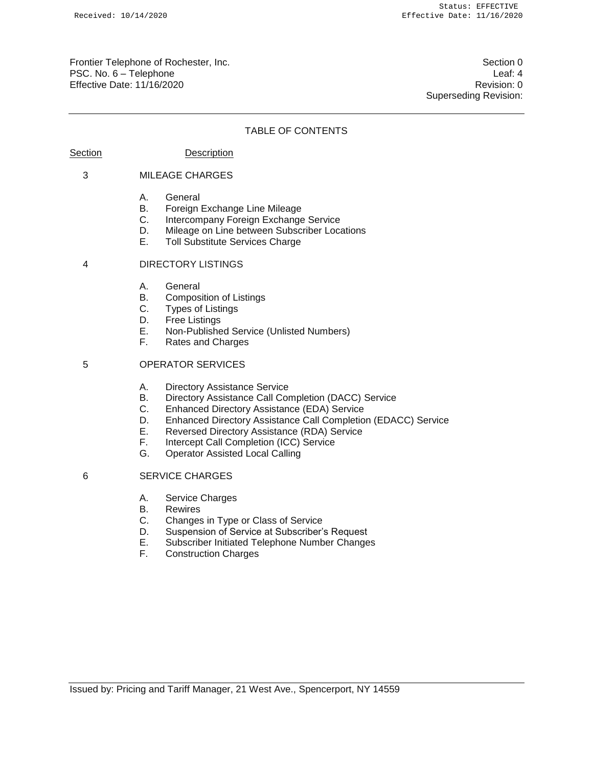Frontier Telephone of Rochester, Inc. Section 0 and the section 0 section 0 section 0 section 0 PSC. No. 6 – Telephone Leaf: 4 Effective Date: 11/16/2020 **Review Accounts** Effective Date: 0

Superseding Revision:

#### TABLE OF CONTENTS

### Section Description

#### 3 MILEAGE CHARGES

- A. General
- B. Foreign Exchange Line Mileage
- C. Intercompany Foreign Exchange Service
- D. Mileage on Line between Subscriber Locations
- E. Toll Substitute Services Charge

#### 4 DIRECTORY LISTINGS

- A. General
- B. Composition of Listings
- C. Types of Listings
- D. Free Listings
- E. Non-Published Service (Unlisted Numbers)
- Rates and Charges

## 5 OPERATOR SERVICES

- A. Directory Assistance Service
- B. Directory Assistance Call Completion (DACC) Service
- C. Enhanced Directory Assistance (EDA) Service
- D. Enhanced Directory Assistance Call Completion (EDACC) Service<br>E. Reversed Directory Assistance (RDA) Service
- Reversed Directory Assistance (RDA) Service
- F. Intercept Call Completion (ICC) Service
- **Operator Assisted Local Calling**

#### 6 SERVICE CHARGES

- A. Service Charges
- B. Rewires
- C. Changes in Type or Class of Service
- D. Suspension of Service at Subscriber's Request
- E. Subscriber Initiated Telephone Number Changes
- **Construction Charges**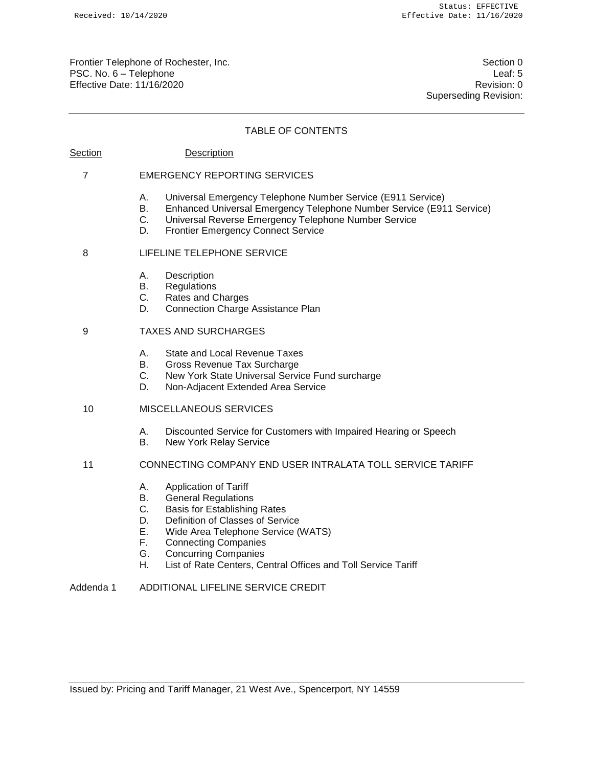Frontier Telephone of Rochester, Inc. Section 0 and the section 0 section 0 section 0 section 0 PSC. No. 6 – Telephone Leaf: 5 Effective Date: 11/16/2020 **Review Accounts** Effective Date: 0

Superseding Revision:

### TABLE OF CONTENTS

## Section Description

### 7 EMERGENCY REPORTING SERVICES

- A. Universal Emergency Telephone Number Service (E911 Service)
- B. Enhanced Universal Emergency Telephone Number Service (E911 Service)
- C. Universal Reverse Emergency Telephone Number Service
- D. Frontier Emergency Connect Service

#### 8 LIFELINE TELEPHONE SERVICE

- A. Description
- B. Regulations
- C. Rates and Charges
- D. Connection Charge Assistance Plan

## 9 TAXES AND SURCHARGES

- A. State and Local Revenue Taxes
- B. Gross Revenue Tax Surcharge
- C. New York State Universal Service Fund surcharge
- D. Non-Adjacent Extended Area Service

## 10 MISCELLANEOUS SERVICES

- A. Discounted Service for Customers with Impaired Hearing or Speech
- B. New York Relay Service
- 11 CONNECTING COMPANY END USER INTRALATA TOLL SERVICE TARIFF
	- A. Application of Tariff
	- B. General Regulations
	- C. Basis for Establishing Rates
	- D. Definition of Classes of Service
	- E. Wide Area Telephone Service (WATS)
	- F. Connecting Companies
	- G. Concurring Companies
	- H. List of Rate Centers, Central Offices and Toll Service Tariff

## Addenda 1 ADDITIONAL LIFELINE SERVICE CREDIT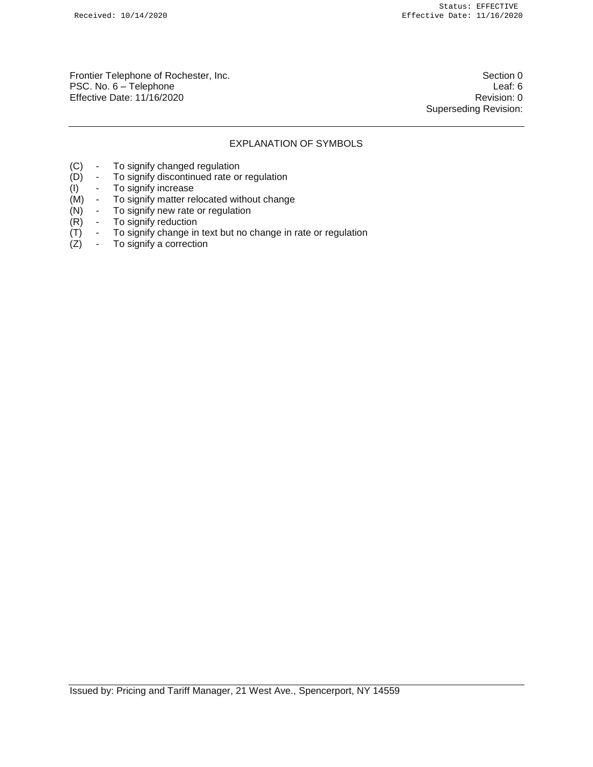Frontier Telephone of Rochester, Inc. Section 0 PSC. No. 6 – Telephone Leaf: 6 Effective Date: 11/16/2020 **Review Account 2018** Revision: 0

Superseding Revision:

## EXPLANATION OF SYMBOLS

- (C) To signify changed regulation
- 
- (I) To signify increase<br>(M) To signify matter re
- (D) To signify discontinued rate or regulation<br>(I) To signify increase<br>(M) To signify matter relocated without chang - To signify matter relocated without change<br>- To signify new rate or regulation
- (N) To signify new rate or regulation
- 
- $(R)$  To signify reduction<br>  $(T)$  To signify change in  $(T)$  - To signify change in text but no change in rate or regulation  $(Z)$  - To signify a correction
- To signify a correction